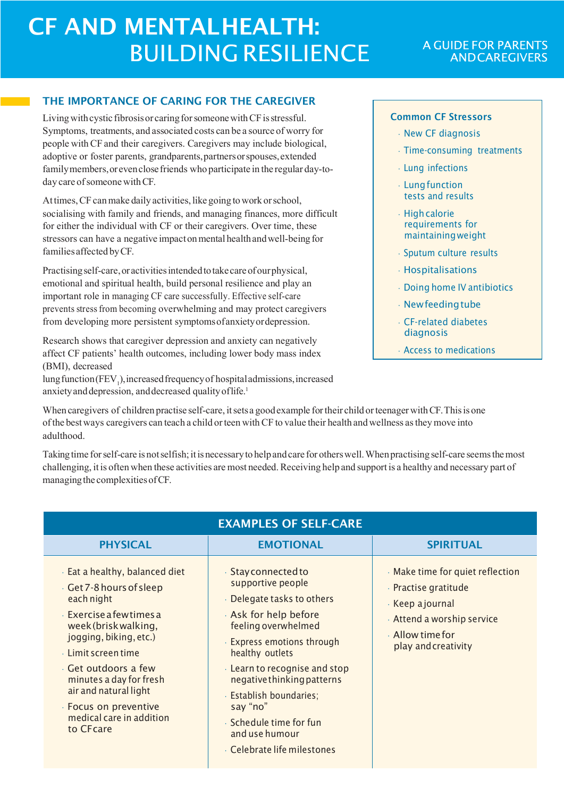# CF AND MENTALHEALTH: **BUILDING RESILIENCE**

## THE IMPORTANCE OF CARING FOR THE CAREGIVER

Living with cystic fibrosis or caring for someone with CF is stressful. Symptoms, treatments, and associated costs can be a source of worry for people withCF and their caregivers. Caregivers may include biological, adoptive or foster parents, grandparents,partnersorspouses,extended familymembers,orevenclosefriends who participate in the regular day-today care of someone with CF.

Attimes, CF can make daily activities, like going to work or school, socialising with family and friends, and managing finances, more difficult for either the individual with CF or their caregivers. Over time, these stressors can have a negative impact on mental health and well-being for familiesaffected byCF.

Practising self-care, or activities intended to take care of our physical, emotional and spiritual health, build personal resilience and play an important role in managing CF care successfully. Effective self-care prevents stressfrom becoming overwhelming and may protect caregivers from developing more persistent symptomsofanxietyordepression.

Research shows that caregiver depression and anxiety can negatively affect CF patients' health outcomes, including lower body mass index (BMI), decreased

lung function (FEV<sub>1</sub>), increased frequency of hospital admissions, increased anxiety and depression, and decreased quality of life.<sup>1</sup>

## Common CF Stressors

- New CF diagnosis
- Time-consuming treatments
- Lung infections
- Lungfunction tests and results
- Highcalorie requirements for maintainingweight
- Sputum culture results
- Hospitalisations
- Doing home IV antibiotics
- Newfeedingtube
- CF-related diabetes diagnosis
- Access to medications

When caregivers of children practise self-care, it sets a good example for their child or teenager with CF. This is one ofthe bestways caregivers can teach a child orteen withCF to value their health andwellness asthey move into adulthood.

Taking time for self-care is not selfish; it is necessary to help and care for others well. When practising self-care seems the most challenging, it is often when these activities are most needed. Receiving help and support is a healthy and necessary part of managing the complexities of CF.

| <b>EXAMPLES OF SELF-CARE</b>                                                                                                                                                                                                                                                                                                         |                                                                                                                                                                                                                                                                                                                                                        |                                                                                                                                                         |
|--------------------------------------------------------------------------------------------------------------------------------------------------------------------------------------------------------------------------------------------------------------------------------------------------------------------------------------|--------------------------------------------------------------------------------------------------------------------------------------------------------------------------------------------------------------------------------------------------------------------------------------------------------------------------------------------------------|---------------------------------------------------------------------------------------------------------------------------------------------------------|
| <b>PHYSICAL</b>                                                                                                                                                                                                                                                                                                                      | <b>EMOTIONAL</b>                                                                                                                                                                                                                                                                                                                                       | <b>SPIRITUAL</b>                                                                                                                                        |
| Eat a healthy, balanced diet<br>Get 7-8 hours of sleep<br>each night<br>$\cdot$ Exercise a few times a<br>week (brisk walking,<br>jogging, biking, etc.)<br>$\cdot$ Limit screen time<br>· Get outdoors a few<br>minutes a day for fresh<br>air and natural light<br>· Focus on preventive<br>medical care in addition<br>to CF care | · Stay connected to<br>supportive people<br>Delegate tasks to others<br>Ask for help before<br>feeling overwhelmed<br><b>Express emotions through</b><br>healthy outlets<br>Learn to recognise and stop<br>negative thinking patterns<br>· Establish boundaries;<br>say "no"<br>· Schedule time for fun<br>and use humour<br>Celebrate life milestones | Make time for quiet reflection<br>· Practise gratitude<br>· Keep a journal<br>Attend a worship service<br>$\cdot$ Allow time for<br>play and creativity |